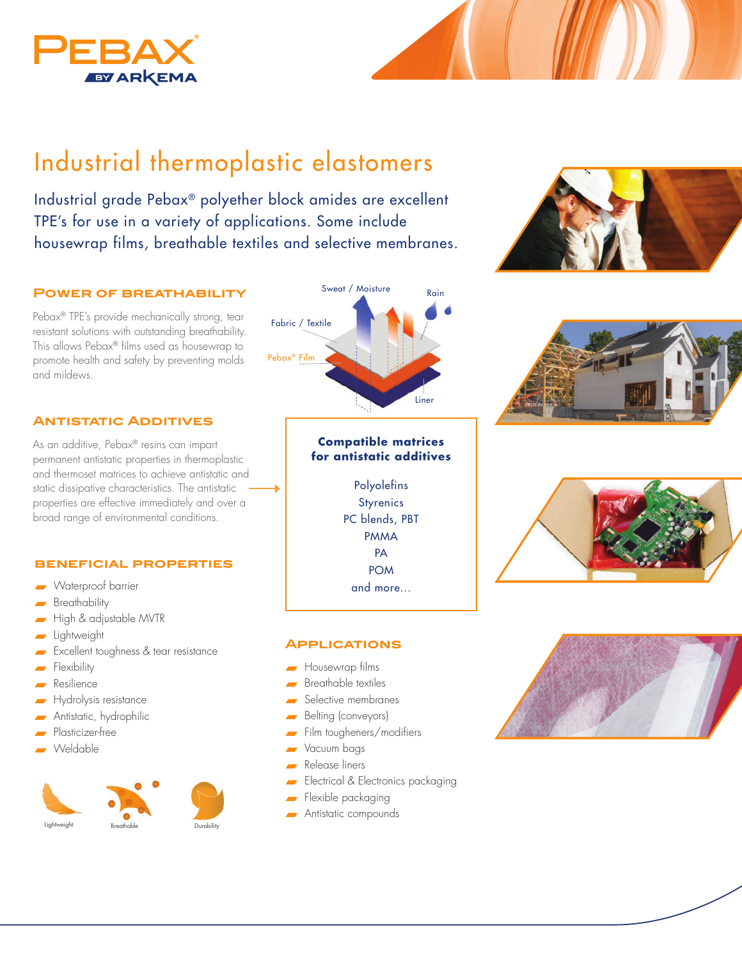

# Industrial thermoplastic elastomers

Industrial grade Pebax® polyether block amides are excellent TPE's for use in a variety of applications. Some include housewrap films, breathable textiles and selective membranes.

## **Power of breathability**

Pebax® TPE's provide mechanically strong, tear resistant solutions with outstanding breathability. This allows Pebax® films used as housewrap to promote health and safety by preventing molds and mildews.

# **Antistatic Additives**

As an additive, Pebax® resins can impart permanent antistatic properties in thermoplastic and thermoset matrices to achieve antistatic and static dissipative characteristics. The antistatic properties are effective immediately and over a broad range of environmental conditions.

#### **beneficial properties**

- Waterproof barrier
- $B$ reathability
- High & adjustable MVTR
- $\blacksquare$  Lightweight
- Excellent toughness & tear resistance
- Flexibility
- Resilience
- Hydrolysis resistance
- Antistatic, hydrophilic
- Plasticizer-free
- Weldable





## **Compatible matrices for antistatic additives**

Polyolefins **Styrenics** PC blends, PBT PMMA **PA** POM and more...

#### **Applications**

- $\blacksquare$  Housewrap films
- $\blacksquare$  Breathable textiles
- Selective membranes
- Belting (conveyors)
- Film tougheners/modifiers
- Vacuum bags
- Release liners
- Electrical & Electronics packaging
- Flexible packaging
- **Antistatic compounds**